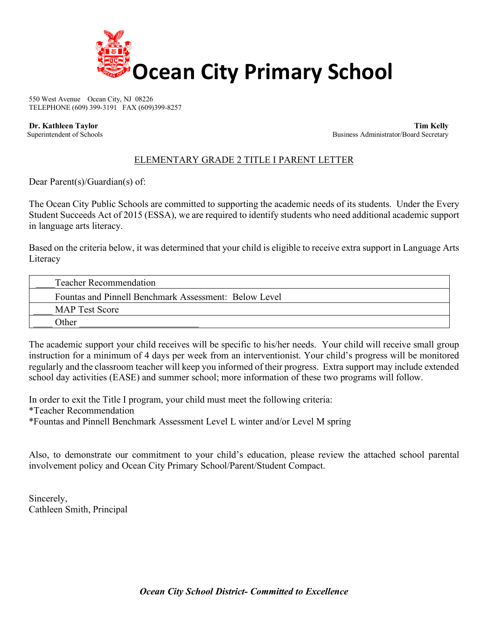

550 West Avenue Ocean City, NJ 08226 TELEPHONE (609) 399-3191 FAX (609)399-8257

 **Dr. Kathleen Taylor Tim Kelly** Superintendent of Schools Business Administrator/Board Secretary Business Administrator/Board Secretary

## ELEMENTARY GRADE 2 TITLE I PARENT LETTER

Dear Parent(s)/Guardian(s) of:

The Ocean City Public Schools are committed to supporting the academic needs of its students. Under the Every Student Succeeds Act of 2015 (ESSA), we are required to identify students who need additional academic support in language arts literacy.

Based on the criteria below, it was determined that your child is eligible to receive extra support in Language Arts Literacy

| <b>Teacher Recommendation</b>                         |  |
|-------------------------------------------------------|--|
| Fountas and Pinnell Benchmark Assessment: Below Level |  |
| <b>MAP</b> Test Score                                 |  |
| <b>Other</b>                                          |  |

The academic support your child receives will be specific to his/her needs. Your child will receive small group instruction for a minimum of 4 days per week from an interventionist. Your child's progress will be monitored regularly and the classroom teacher will keep you informed of their progress. Extra support may include extended school day activities (EASE) and summer school; more information of these two programs will follow.

In order to exit the Title I program, your child must meet the following criteria: \*Teacher Recommendation \*Fountas and Pinnell Benchmark Assessment Level L winter and/or Level M spring

Also, to demonstrate our commitment to your child's education, please review the attached school parental involvement policy and Ocean City Primary School/Parent/Student Compact.

Sincerely, Cathleen Smith, Principal